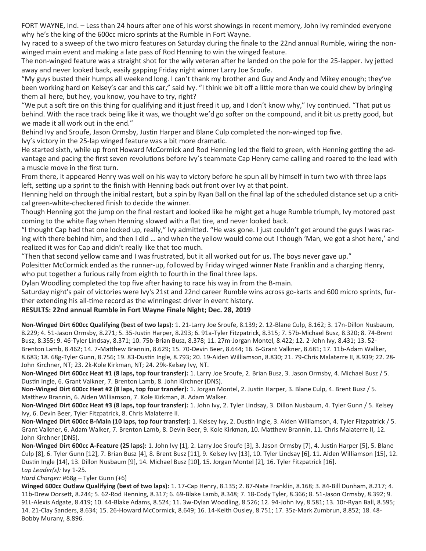FORT WAYNE, Ind. – Less than 24 hours after one of his worst showings in recent memory, John Ivy reminded everyone why he's the king of the 600cc micro sprints at the Rumble in Fort Wayne.

Ivy raced to a sweep of the two micro features on Saturday during the finale to the 22nd annual Rumble, wiring the nonwinged main event and making a late pass of Rod Henning to win the winged feature.

The non-winged feature was a straight shot for the wily veteran after he landed on the pole for the 25-lapper. Ivy jetted away and never looked back, easily gapping Friday night winner Larry Joe Sroufe.

"My guys busted their humps all weekend long. I can't thank my brother and Guy and Andy and Mikey enough; they've been working hard on Kelsey's car and this car," said Ivy. "I think we bit off a little more than we could chew by bringing them all here, but hey, you know, you have to try, right?

"We put a soft tire on this thing for qualifying and it just freed it up, and I don't know why," Ivy continued. "That put us behind. With the race track being like it was, we thought we'd go softer on the compound, and it bit us pretty good, but we made it all work out in the end."

Behind Ivy and Sroufe, Jason Ormsby, Justin Harper and Blane Culp completed the non-winged top five.

Ivy's victory in the 25-lap winged feature was a bit more dramatic.

He started sixth, while up front Howard McCormick and Rod Henning led the field to green, with Henning getting the advantage and pacing the first seven revolutions before Ivy's teammate Cap Henry came calling and roared to the lead with a muscle move in the first turn.

From there, it appeared Henry was well on his way to victory before he spun all by himself in turn two with three laps left, setting up a sprint to the finish with Henning back out front over Ivy at that point.

Henning held on through the initial restart, but a spin by Ryan Ball on the final lap of the scheduled distance set up a critical green-white-checkered finish to decide the winner.

Though Henning got the jump on the final restart and looked like he might get a huge Rumble triumph, Ivy motored past coming to the white flag when Henning slowed with a flat tire, and never looked back.

"I thought Cap had that one locked up, really," Ivy admitted. "He was gone. I just couldn't get around the guys I was racing with there behind him, and then I did … and when the yellow would come out I though 'Man, we got a shot here,' and realized it was for Cap and didn't really like that too much.

"Then that second yellow came and I was frustrated, but it all worked out for us. The boys never gave up."

Polesitter McCormick ended as the runner-up, followed by Friday winged winner Nate Franklin and a charging Henry, who put together a furious rally from eighth to fourth in the final three laps.

Dylan Woodling completed the top five after having to race his way in from the B-main.

Saturday night's pair of victories were Ivy's 21st and 22nd career Rumble wins across go-karts and 600 micro sprints, further extending his all-time record as the winningest driver in event history.

## **RESULTS: 22nd annual Rumble in Fort Wayne Finale Night; Dec. 28, 2019**

**Non-Winged Dirt 600cc Qualifying (best of two laps):** 1. 21-Larry Joe Sroufe, 8.139; 2. 12-Blane Culp, 8.162; 3. 17n-Dillon Nusbaum, 8.229; 4. 51-Jason Ormsby, 8.271; 5. 35-Justin Harper, 8.293; 6. 91a-Tyler Fitzpatrick, 8.315; 7. 57b-Michael Busz, 8.320; 8. 74-Brent Busz, 8.355; 9. 46-Tyler Lindsay, 8.371; 10. 75b-Brian Busz, 8.378; 11. 27m-Jorgan Montel, 8.422; 12. 2-John Ivy, 8.431; 13. 52- Brenton Lamb, 8.462; 14. 7-Matthew Brannin, 8.629; 15. 70-Devin Beer, 8.644; 16. 6-Grant Valkner, 8.681; 17. 11b-Adam Walker, 8.683; 18. 68g-Tyler Gunn, 8.756; 19. 83-Dustin Ingle, 8.793; 20. 19-Aiden Williamson, 8.830; 21. 79-Chris Malaterre II, 8.939; 22. 28- John Kirchner, NT; 23. 2k-Kole Kirkman, NT; 24. 29k-Kelsey Ivy, NT.

**Non-Winged Dirt 600cc Heat #1 (8 laps, top four transfer):** 1. Larry Joe Sroufe, 2. Brian Busz, 3. Jason Ormsby, 4. Michael Busz / 5. Dustin Ingle, 6. Grant Valkner, 7. Brenton Lamb, 8. John Kirchner (DNS).

**Non-Winged Dirt 600cc Heat #2 (8 laps, top four transfer):** 1. Jorgan Montel, 2. Justin Harper, 3. Blane Culp, 4. Brent Busz / 5. Matthew Brannin, 6. Aiden Williamson, 7. Kole Kirkman, 8. Adam Walker.

**Non-Winged Dirt 600cc Heat #3 (8 laps, top four transfer):** 1. John Ivy, 2. Tyler Lindsay, 3. Dillon Nusbaum, 4. Tyler Gunn / 5. Kelsey Ivy, 6. Devin Beer, Tyler Fitzpatrick, 8. Chris Malaterre II.

**Non-Winged Dirt 600cc B-Main (10 laps, top four transfer):** 1. Kelsey Ivy, 2. Dustin Ingle, 3. Aiden Williamson, 4. Tyler Fitzpatrick / 5. Grant Valkner, 6. Adam Walker, 7. Brenton Lamb, 8. Devin Beer, 9. Kole Kirkman, 10. Matthew Brannin, 11. Chris Malaterre II, 12. John Kirchner (DNS).

**Non-Winged Dirt 600cc A-Feature (25 laps):** 1. John Ivy [1], 2. Larry Joe Sroufe [3], 3. Jason Ormsby [7], 4. Justin Harper [5], 5. Blane Culp [8], 6. Tyler Gunn [12], 7. Brian Busz [4], 8. Brent Busz [11], 9. Kelsey Ivy [13], 10. Tyler Lindsay [6], 11. Aiden Williamson [15], 12. Dustin Ingle [14], 13. Dillon Nusbaum [9], 14. Michael Busz [10], 15. Jorgan Montel [2], 16. Tyler Fitzpatrick [16]. *Lap Leader(s):* Ivy 1-25.

*Hard Charger:* #68g – Tyler Gunn (+6)

**Winged 600cc Outlaw Qualifying (best of two laps):** 1. 17-Cap Henry, 8.135; 2. 87-Nate Franklin, 8.168; 3. 84-Bill Dunham, 8.217; 4. 11b-Drew Dorsett, 8.244; 5. 62-Rod Henning, 8.317; 6. 69-Blake Lamb, 8.348; 7. 18-Cody Tyler, 8.366; 8. 51-Jason Ormsby, 8.392; 9. 91L-Alexis Adgate, 8.419; 10. 44-Blake Adams, 8.524; 11. 3w-Dylan Woodling, 8.526; 12. 94-John Ivy, 8.581; 13. 10r-Ryan Ball, 8.595; 14. 21-Clay Sanders, 8.634; 15. 26-Howard McCormick, 8.649; 16. 14-Keith Ousley, 8.751; 17. 35z-Mark Zumbrun, 8.852; 18. 48- Bobby Murany, 8.896.